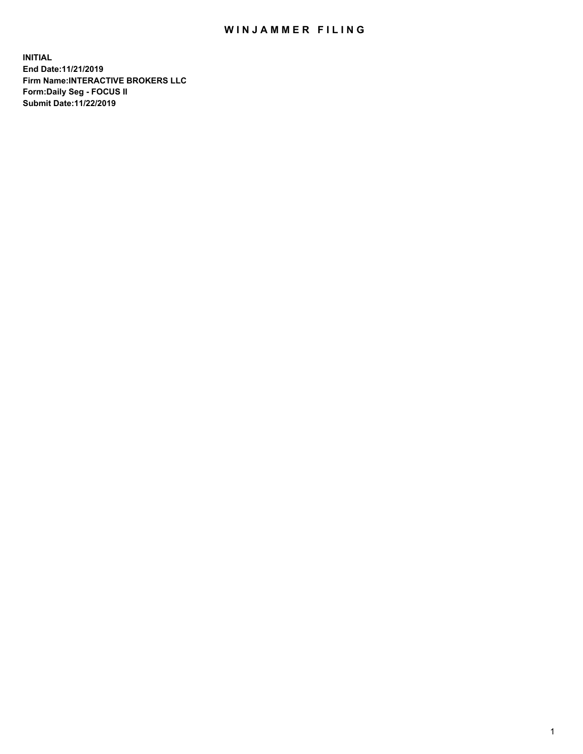## WIN JAMMER FILING

**INITIAL End Date:11/21/2019 Firm Name:INTERACTIVE BROKERS LLC Form:Daily Seg - FOCUS II Submit Date:11/22/2019**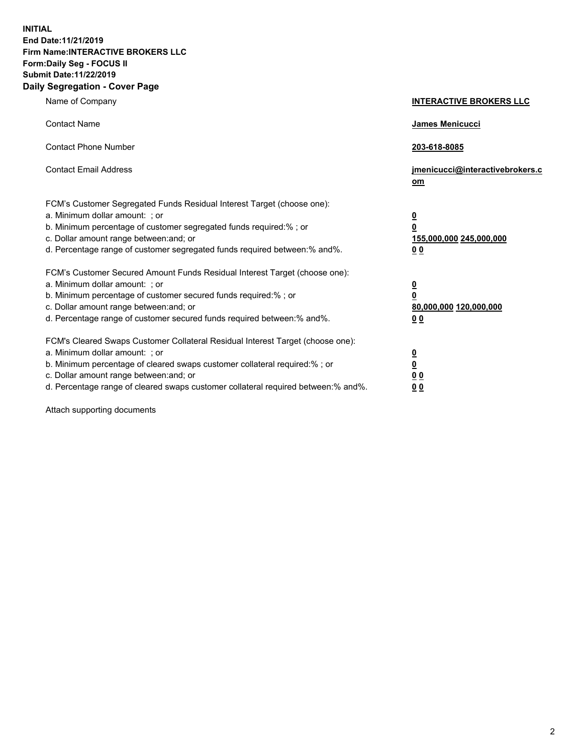**INITIAL End Date:11/21/2019 Firm Name:INTERACTIVE BROKERS LLC Form:Daily Seg - FOCUS II Submit Date:11/22/2019 Daily Segregation - Cover Page**

| Name of Company                                                                                                                                                                                                                                                                                                                | <b>INTERACTIVE BROKERS LLC</b>                                                                 |
|--------------------------------------------------------------------------------------------------------------------------------------------------------------------------------------------------------------------------------------------------------------------------------------------------------------------------------|------------------------------------------------------------------------------------------------|
| <b>Contact Name</b>                                                                                                                                                                                                                                                                                                            | James Menicucci                                                                                |
| <b>Contact Phone Number</b>                                                                                                                                                                                                                                                                                                    | 203-618-8085                                                                                   |
| <b>Contact Email Address</b>                                                                                                                                                                                                                                                                                                   | jmenicucci@interactivebrokers.c<br>om                                                          |
| FCM's Customer Segregated Funds Residual Interest Target (choose one):<br>a. Minimum dollar amount: : or<br>b. Minimum percentage of customer segregated funds required:% ; or<br>c. Dollar amount range between: and; or<br>d. Percentage range of customer segregated funds required between:% and%.                         | $\overline{\mathbf{0}}$<br>$\overline{\mathbf{0}}$<br>155,000,000 245,000,000<br>00            |
| FCM's Customer Secured Amount Funds Residual Interest Target (choose one):<br>a. Minimum dollar amount: ; or<br>b. Minimum percentage of customer secured funds required:%; or<br>c. Dollar amount range between: and; or<br>d. Percentage range of customer secured funds required between:% and%.                            | $\overline{\mathbf{0}}$<br>$\overline{\mathbf{0}}$<br>80,000,000 120,000,000<br>0 <sub>0</sub> |
| FCM's Cleared Swaps Customer Collateral Residual Interest Target (choose one):<br>a. Minimum dollar amount: ; or<br>b. Minimum percentage of cleared swaps customer collateral required:% ; or<br>c. Dollar amount range between: and; or<br>d. Percentage range of cleared swaps customer collateral required between:% and%. | $\frac{0}{0}$<br>0 <sub>0</sub><br>0 <sub>0</sub>                                              |

Attach supporting documents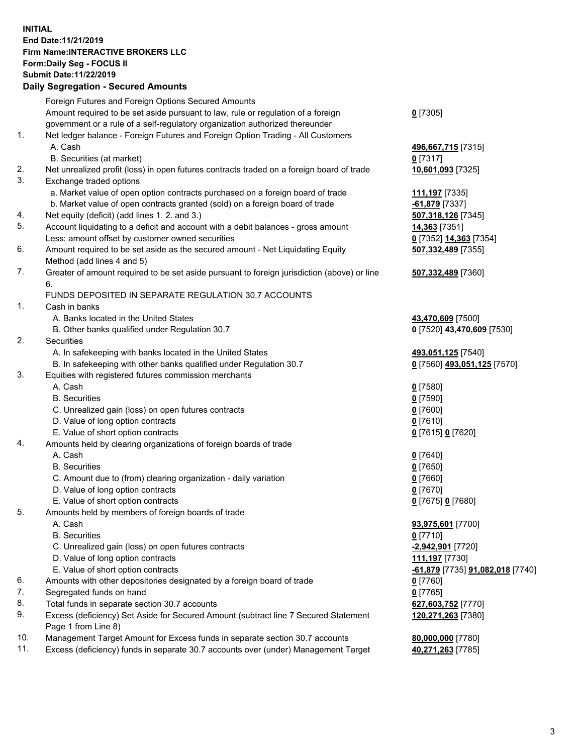## **INITIAL End Date:11/21/2019 Firm Name:INTERACTIVE BROKERS LLC Form:Daily Seg - FOCUS II Submit Date:11/22/2019 Daily Segregation - Secured Amounts**

|     | Daily Segregation - Secured Amounts                                                         |                                                |
|-----|---------------------------------------------------------------------------------------------|------------------------------------------------|
|     | Foreign Futures and Foreign Options Secured Amounts                                         |                                                |
|     | Amount required to be set aside pursuant to law, rule or regulation of a foreign            | $0$ [7305]                                     |
|     | government or a rule of a self-regulatory organization authorized thereunder                |                                                |
| 1.  | Net ledger balance - Foreign Futures and Foreign Option Trading - All Customers             |                                                |
|     | A. Cash                                                                                     | 496,667,715 [7315]                             |
|     | B. Securities (at market)                                                                   | $0$ [7317]                                     |
| 2.  | Net unrealized profit (loss) in open futures contracts traded on a foreign board of trade   | 10,601,093 [7325]                              |
| 3.  | Exchange traded options                                                                     |                                                |
|     | a. Market value of open option contracts purchased on a foreign board of trade              | 111,197 [7335]                                 |
|     | b. Market value of open contracts granted (sold) on a foreign board of trade                | $-61,879$ [7337]                               |
| 4.  | Net equity (deficit) (add lines 1. 2. and 3.)                                               | 507,318,126 [7345]                             |
| 5.  | Account liquidating to a deficit and account with a debit balances - gross amount           | 14,363 [7351]                                  |
|     | Less: amount offset by customer owned securities                                            | 0 [7352] 14,363 [7354]                         |
| 6.  | Amount required to be set aside as the secured amount - Net Liquidating Equity              | 507,332,489 [7355]                             |
|     | Method (add lines 4 and 5)                                                                  |                                                |
| 7.  | Greater of amount required to be set aside pursuant to foreign jurisdiction (above) or line | 507,332,489 [7360]                             |
|     | 6.                                                                                          |                                                |
|     | FUNDS DEPOSITED IN SEPARATE REGULATION 30.7 ACCOUNTS                                        |                                                |
| 1.  | Cash in banks                                                                               |                                                |
|     | A. Banks located in the United States                                                       | 43,470,609 [7500]                              |
|     | B. Other banks qualified under Regulation 30.7                                              | 0 [7520] 43,470,609 [7530]                     |
| 2.  | Securities                                                                                  |                                                |
|     | A. In safekeeping with banks located in the United States                                   | 493,051,125 [7540]                             |
|     | B. In safekeeping with other banks qualified under Regulation 30.7                          | 0 [7560] 493,051,125 [7570]                    |
| 3.  | Equities with registered futures commission merchants                                       |                                                |
|     | A. Cash                                                                                     | $0$ [7580]                                     |
|     | <b>B.</b> Securities                                                                        | $0$ [7590]                                     |
|     | C. Unrealized gain (loss) on open futures contracts                                         | $0$ [7600]                                     |
|     | D. Value of long option contracts<br>E. Value of short option contracts                     | $0$ [7610]                                     |
| 4.  | Amounts held by clearing organizations of foreign boards of trade                           | 0 [7615] 0 [7620]                              |
|     | A. Cash                                                                                     | $0$ [7640]                                     |
|     | <b>B.</b> Securities                                                                        | $0$ [7650]                                     |
|     | C. Amount due to (from) clearing organization - daily variation                             | $0$ [7660]                                     |
|     | D. Value of long option contracts                                                           | $0$ [7670]                                     |
|     | E. Value of short option contracts                                                          | 0 [7675] 0 [7680]                              |
| 5.  | Amounts held by members of foreign boards of trade                                          |                                                |
|     | A. Cash                                                                                     | 93,975,601 [7700]                              |
|     | <b>B.</b> Securities                                                                        | $0$ [7710]                                     |
|     | C. Unrealized gain (loss) on open futures contracts                                         | -2,942,901 [7720]                              |
|     | D. Value of long option contracts                                                           | 111,197 [7730]                                 |
|     | E. Value of short option contracts                                                          | <u>-61,879</u> [7735] <u>91,082,018</u> [7740] |
| 6.  | Amounts with other depositories designated by a foreign board of trade                      | $0$ [7760]                                     |
| 7.  | Segregated funds on hand                                                                    | $0$ [7765]                                     |
| 8.  | Total funds in separate section 30.7 accounts                                               | 627,603,752 [7770]                             |
| 9.  | Excess (deficiency) Set Aside for Secured Amount (subtract line 7 Secured Statement         | 120,271,263 [7380]                             |
|     | Page 1 from Line 8)                                                                         |                                                |
| 10. | Management Target Amount for Excess funds in separate section 30.7 accounts                 | 80,000,000 [7780]                              |
| 11. | Excess (deficiency) funds in separate 30.7 accounts over (under) Management Target          | 40,271,263 [7785]                              |
|     |                                                                                             |                                                |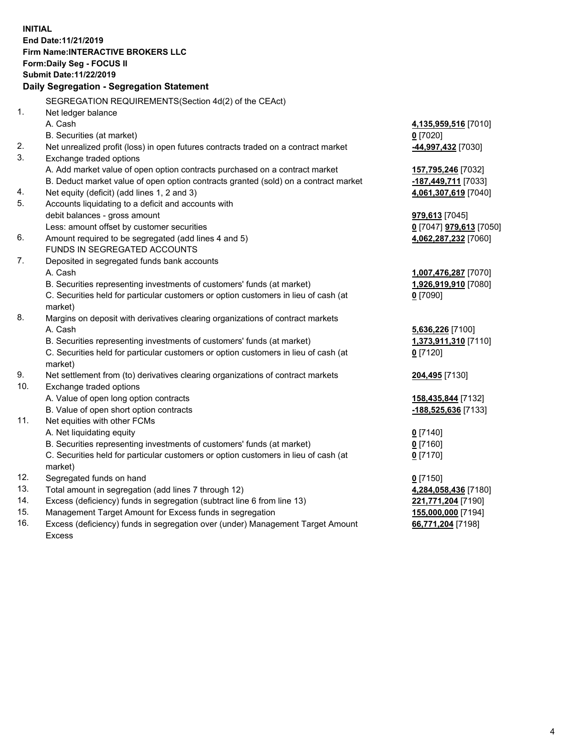**INITIAL End Date:11/21/2019 Firm Name:INTERACTIVE BROKERS LLC Form:Daily Seg - FOCUS II Submit Date:11/22/2019 Daily Segregation - Segregation Statement** SEGREGATION REQUIREMENTS(Section 4d(2) of the CEAct) 1. Net ledger balance A. Cash **4,135,959,516** [7010] B. Securities (at market) **0** [7020] 2. Net unrealized profit (loss) in open futures contracts traded on a contract market **-44,997,432** [7030] 3. Exchange traded options A. Add market value of open option contracts purchased on a contract market **157,795,246** [7032] B. Deduct market value of open option contracts granted (sold) on a contract market **-187,449,711** [7033] 4. Net equity (deficit) (add lines 1, 2 and 3) **4,061,307,619** [7040] 5. Accounts liquidating to a deficit and accounts with debit balances - gross amount **979,613** [7045] Less: amount offset by customer securities **0** [7047] **979,613** [7050] 6. Amount required to be segregated (add lines 4 and 5) **4,062,287,232** [7060] FUNDS IN SEGREGATED ACCOUNTS 7. Deposited in segregated funds bank accounts A. Cash **1,007,476,287** [7070] B. Securities representing investments of customers' funds (at market) **1,926,919,910** [7080] C. Securities held for particular customers or option customers in lieu of cash (at market) **0** [7090] 8. Margins on deposit with derivatives clearing organizations of contract markets A. Cash **5,636,226** [7100] B. Securities representing investments of customers' funds (at market) **1,373,911,310** [7110] C. Securities held for particular customers or option customers in lieu of cash (at market) **0** [7120] 9. Net settlement from (to) derivatives clearing organizations of contract markets **204,495** [7130] 10. Exchange traded options A. Value of open long option contracts **158,435,844** [7132] B. Value of open short option contracts **-188,525,636** [7133] 11. Net equities with other FCMs A. Net liquidating equity **0** [7140] B. Securities representing investments of customers' funds (at market) **0** [7160] C. Securities held for particular customers or option customers in lieu of cash (at market) **0** [7170] 12. Segregated funds on hand **0** [7150] 13. Total amount in segregation (add lines 7 through 12) **4,284,058,436** [7180] 14. Excess (deficiency) funds in segregation (subtract line 6 from line 13) **221,771,204** [7190] 15. Management Target Amount for Excess funds in segregation **155,000,000** [7194] 16. Excess (deficiency) funds in segregation over (under) Management Target Amount **66,771,204** [7198]

Excess